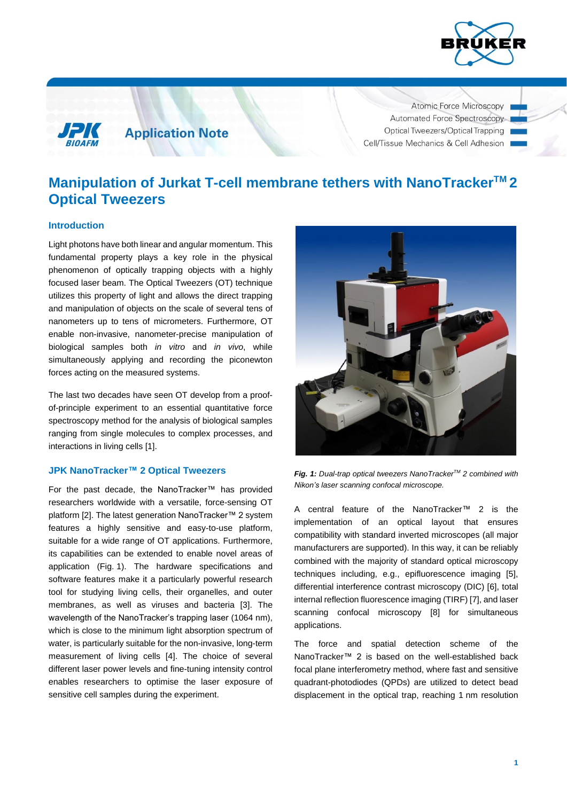



**Application Note** 

Atomic Force Microscopy Automated Force Spectroscopy Optical Tweezers/Optical Trapping Cell/Tissue Mechanics & Cell Adhesion

# **Manipulation of Jurkat T-cell membrane tethers with NanoTrackerTM 2 Optical Tweezers**

## **Introduction**

Light photons have both linear and angular momentum. This fundamental property plays a key role in the physical phenomenon of optically trapping objects with a highly focused laser beam. The Optical Tweezers (OT) technique utilizes this property of light and allows the direct trapping and manipulation of objects on the scale of several tens of nanometers up to tens of micrometers. Furthermore, OT enable non-invasive, nanometer-precise manipulation of biological samples both *in vitro* and *in vivo*, while simultaneously applying and recording the piconewton forces acting on the measured systems.

The last two decades have seen OT develop from a proofof-principle experiment to an essential quantitative force spectroscopy method for the analysis of biological samples ranging from single molecules to complex processes, and interactions in living cells [1].

## **JPK NanoTracker™ 2 Optical Tweezers**

For the past decade, the NanoTracker™ has provided researchers worldwide with a versatile, force-sensing OT platform [2]. The latest generation NanoTracker™ 2 system features a highly sensitive and easy-to-use platform, suitable for a wide range of OT applications. Furthermore, its capabilities can be extended to enable novel areas of application (Fig. 1). The hardware specifications and software features make it a particularly powerful research tool for studying living cells, their organelles, and outer membranes, as well as viruses and bacteria [3]. The wavelength of the NanoTracker's trapping laser (1064 nm), which is close to the minimum light absorption spectrum of water, is particularly suitable for the non-invasive, long-term measurement of living cells [4]. The choice of several different laser power levels and fine-tuning intensity control enables researchers to optimise the laser exposure of sensitive cell samples during the experiment.



*Fig. 1: Dual-trap optical tweezers NanoTrackerTM 2 combined with Nikon's laser scanning confocal microscope.*

A central feature of the NanoTracker™ 2 is the implementation of an optical layout that ensures compatibility with standard inverted microscopes (all major manufacturers are supported). In this way, it can be reliably combined with the majority of standard optical microscopy techniques including, e.g., epifluorescence imaging [5], differential interference contrast microscopy (DIC) [6], total internal reflection fluorescence imaging (TIRF) [7], and laser scanning confocal microscopy [8] for simultaneous applications.

The force and spatial detection scheme of the NanoTracker™ 2 is based on the well-established back focal plane interferometry method, where fast and sensitive quadrant-photodiodes (QPDs) are utilized to detect bead displacement in the optical trap, reaching 1 nm resolution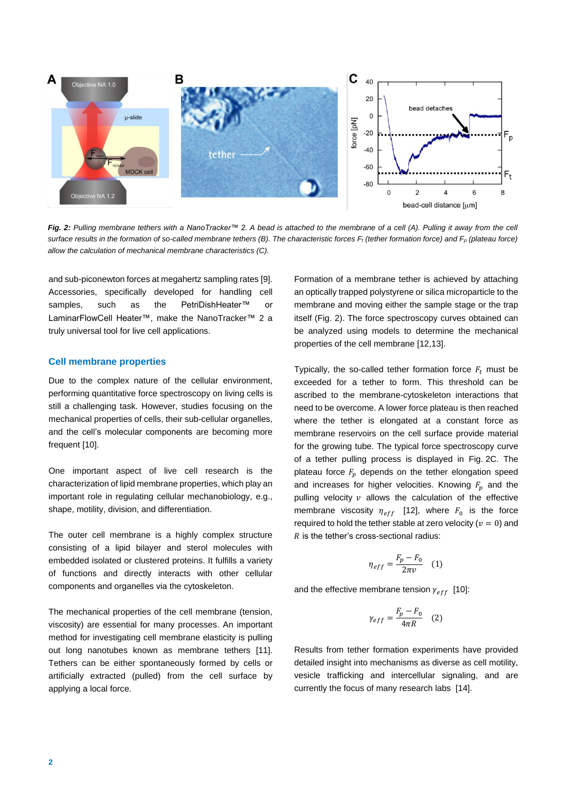

*Fig. 2: Pulling membrane tethers with a NanoTracker™ 2. A bead is attached to the membrane of a cell (A). Pulling it away from the cell surface results in the formation of so-called membrane tethers (B). The characteristic forces F<sup>t</sup> (tether formation force) and F<sup>p</sup> (plateau force) allow the calculation of mechanical membrane characteristics (C).*

and sub-piconewton forces at megahertz sampling rates [9]. Accessories, specifically developed for handling cell samples, such as the PetriDishHeater<sup>™</sup> or LaminarFlowCell Heater™, make the NanoTracker™ 2 a truly universal tool for live cell applications.

#### **Cell membrane properties**

Due to the complex nature of the cellular environment, performing quantitative force spectroscopy on living cells is still a challenging task. However, studies focusing on the mechanical properties of cells, their sub-cellular organelles, and the cell's molecular components are becoming more frequent [10].

One important aspect of live cell research is the characterization of lipid membrane properties, which play an important role in regulating cellular mechanobiology, e.g., shape, motility, division, and differentiation.

The outer cell membrane is a highly complex structure consisting of a lipid bilayer and sterol molecules with embedded isolated or clustered proteins. It fulfills a variety of functions and directly interacts with other cellular components and organelles via the cytoskeleton.

The mechanical properties of the cell membrane (tension, viscosity) are essential for many processes. An important method for investigating cell membrane elasticity is pulling out long nanotubes known as membrane tethers [11]. Tethers can be either spontaneously formed by cells or artificially extracted (pulled) from the cell surface by applying a local force.

Formation of a membrane tether is achieved by attaching an optically trapped polystyrene or silica microparticle to the membrane and moving either the sample stage or the trap itself (Fig. 2). The force spectroscopy curves obtained can be analyzed using models to determine the mechanical properties of the cell membrane [12,13].

Typically, the so-called tether formation force  $F_t$  must be exceeded for a tether to form. This threshold can be ascribed to the membrane-cytoskeleton interactions that need to be overcome. A lower force plateau is then reached where the tether is elongated at a constant force as membrane reservoirs on the cell surface provide material for the growing tube. The typical force spectroscopy curve of a tether pulling process is displayed in Fig. 2C. The plateau force  $F_p$  depends on the tether elongation speed and increases for higher velocities. Knowing  $F_n$  and the pulling velocity  $v$  allows the calculation of the effective membrane viscosity  $\eta_{eff}$  [12], where  $F_0$  is the force required to hold the tether stable at zero velocity ( $v = 0$ ) and  $R$  is the tether's cross-sectional radius:

$$
\eta_{eff} = \frac{F_p - F_0}{2\pi v} \quad (1)
$$

and the effective membrane tension  $\gamma_{eff}$  [10]:

$$
\gamma_{eff} = \frac{F_p - F_0}{4\pi R} \quad (2)
$$

Results from tether formation experiments have provided detailed insight into mechanisms as diverse as cell motility, vesicle trafficking and intercellular signaling, and are currently the focus of many research labs [14].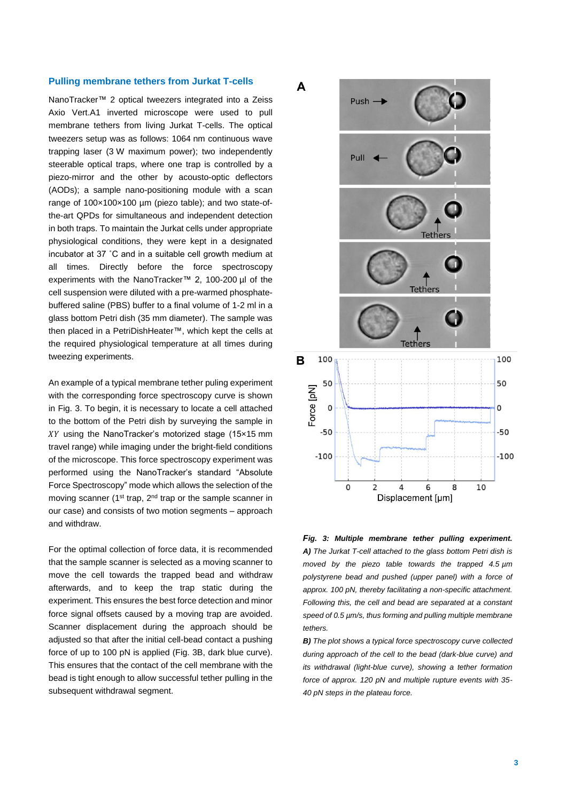#### **Pulling membrane tethers from Jurkat T-cells**

NanoTracker™ 2 optical tweezers integrated into a Zeiss Axio Vert.A1 inverted microscope were used to pull membrane tethers from living Jurkat T-cells. The optical tweezers setup was as follows: 1064 nm continuous wave trapping laser (3 W maximum power); two independently steerable optical traps, where one trap is controlled by a piezo-mirror and the other by acousto-optic deflectors (AODs); a sample nano-positioning module with a scan range of 100×100×100 µm (piezo table); and two state-ofthe-art QPDs for simultaneous and independent detection in both traps. To maintain the Jurkat cells under appropriate physiological conditions, they were kept in a designated incubator at 37 ˚C and in a suitable cell growth medium at all times. Directly before the force spectroscopy experiments with the NanoTracker™ 2, 100-200 µl of the cell suspension were diluted with a pre-warmed phosphatebuffered saline (PBS) buffer to a final volume of 1-2 ml in a glass bottom Petri dish (35 mm diameter). The sample was then placed in a PetriDishHeater™, which kept the cells at the required physiological temperature at all times during tweezing experiments.

An example of a typical membrane tether puling experiment with the corresponding force spectroscopy curve is shown in Fig. 3. To begin, it is necessary to locate a cell attached to the bottom of the Petri dish by surveying the sample in  $XY$  using the NanoTracker's motorized stage (15 $\times$ 15 mm travel range) while imaging under the bright-field conditions of the microscope. This force spectroscopy experiment was performed using the NanoTracker's standard "Absolute Force Spectroscopy" mode which allows the selection of the moving scanner (1<sup>st</sup> trap, 2<sup>nd</sup> trap or the sample scanner in our case) and consists of two motion segments – approach and withdraw.

For the optimal collection of force data, it is recommended that the sample scanner is selected as a moving scanner to move the cell towards the trapped bead and withdraw afterwards, and to keep the trap static during the experiment. This ensures the best force detection and minor force signal offsets caused by a moving trap are avoided. Scanner displacement during the approach should be adjusted so that after the initial cell-bead contact a pushing force of up to 100 pN is applied (Fig. 3B, dark blue curve). This ensures that the contact of the cell membrane with the bead is tight enough to allow successful tether pulling in the subsequent withdrawal segment.



*Fig. 3: Multiple membrane tether pulling experiment. A) The Jurkat T-cell attached to the glass bottom Petri dish is moved by the piezo table towards the trapped 4.5 µm polystyrene bead and pushed (upper panel) with a force of approx. 100 pN, thereby facilitating a non-specific attachment. Following this, the cell and bead are separated at a constant speed of 0.5 µm/s, thus forming and pulling multiple membrane tethers.*

*B) The plot shows a typical force spectroscopy curve collected during approach of the cell to the bead (dark-blue curve) and its withdrawal (light-blue curve), showing a tether formation force of approx. 120 pN and multiple rupture events with 35- 40 pN steps in the plateau force.*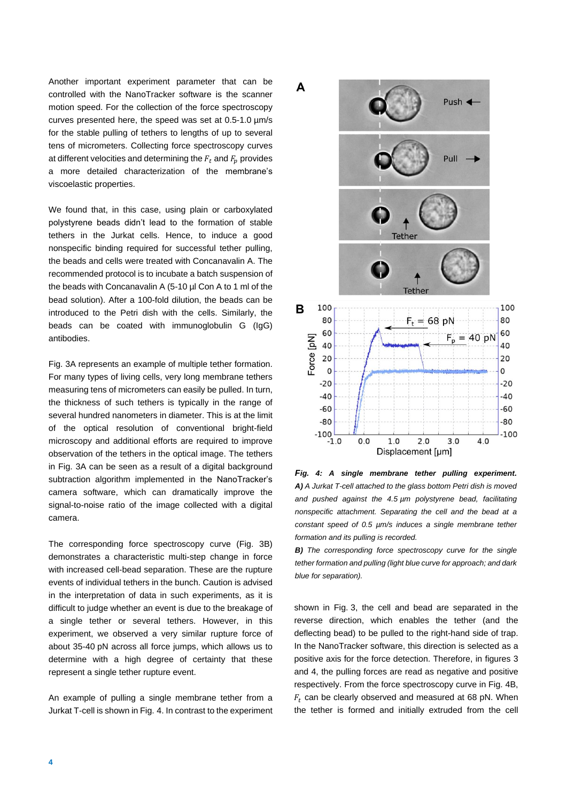Another important experiment parameter that can be controlled with the NanoTracker software is the scanner motion speed. For the collection of the force spectroscopy curves presented here, the speed was set at 0.5-1.0 µm/s for the stable pulling of tethers to lengths of up to several tens of micrometers. Collecting force spectroscopy curves at different velocities and determining the  $F_t$  and  $F_p$  provides a more detailed characterization of the membrane's viscoelastic properties.

We found that, in this case, using plain or carboxylated polystyrene beads didn't lead to the formation of stable tethers in the Jurkat cells. Hence, to induce a good nonspecific binding required for successful tether pulling, the beads and cells were treated with Concanavalin A. The recommended protocol is to incubate a batch suspension of the beads with Concanavalin A (5-10 µl Con A to 1 ml of the bead solution). After a 100-fold dilution, the beads can be introduced to the Petri dish with the cells. Similarly, the beads can be coated with immunoglobulin G (IgG) antibodies.

Fig. 3A represents an example of multiple tether formation. For many types of living cells, very long membrane tethers measuring tens of micrometers can easily be pulled. In turn, the thickness of such tethers is typically in the range of several hundred nanometers in diameter. This is at the limit of the optical resolution of conventional bright-field microscopy and additional efforts are required to improve observation of the tethers in the optical image. The tethers in Fig. 3A can be seen as a result of a digital background subtraction algorithm implemented in the NanoTracker's camera software, which can dramatically improve the signal-to-noise ratio of the image collected with a digital camera.

The corresponding force spectroscopy curve (Fig. 3B) demonstrates a characteristic multi-step change in force with increased cell-bead separation. These are the rupture events of individual tethers in the bunch. Caution is advised in the interpretation of data in such experiments, as it is difficult to judge whether an event is due to the breakage of a single tether or several tethers. However, in this experiment, we observed a very similar rupture force of about 35-40 pN across all force jumps, which allows us to determine with a high degree of certainty that these represent a single tether rupture event.

An example of pulling a single membrane tether from a Jurkat T-cell is shown in Fig. 4. In contrast to the experiment



*Fig. 4: A single membrane tether pulling experiment. A) A Jurkat T-cell attached to the glass bottom Petri dish is moved and pushed against the 4.5 µm polystyrene bead, facilitating nonspecific attachment. Separating the cell and the bead at a constant speed of 0.5 µm/s induces a single membrane tether formation and its pulling is recorded.*

*B) The corresponding force spectroscopy curve for the single tether formation and pulling (light blue curve for approach; and dark blue for separation).*

shown in Fig. 3, the cell and bead are separated in the reverse direction, which enables the tether (and the deflecting bead) to be pulled to the right-hand side of trap. In the NanoTracker software, this direction is selected as a positive axis for the force detection. Therefore, in figures 3 and 4, the pulling forces are read as negative and positive respectively. From the force spectroscopy curve in Fig. 4B,  $F_t$  can be clearly observed and measured at 68 pN. When the tether is formed and initially extruded from the cell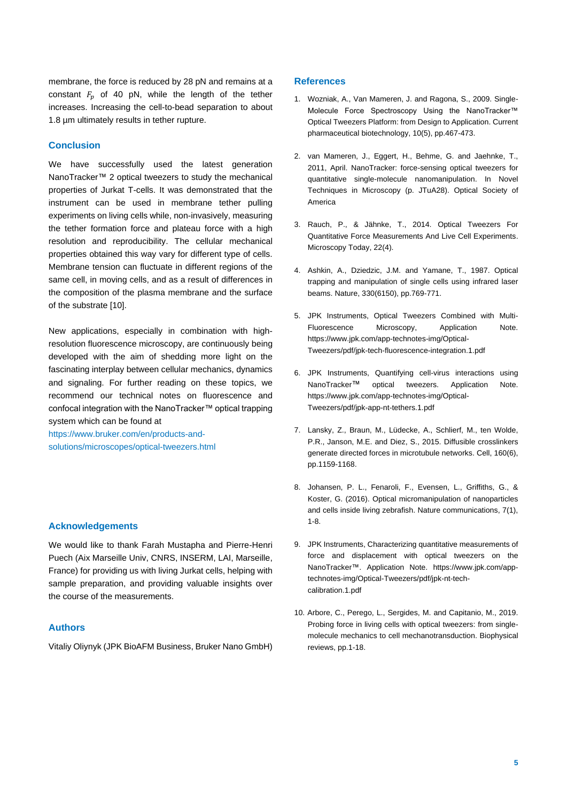membrane, the force is reduced by 28 pN and remains at a constant  $F_n$  of 40 pN, while the length of the tether increases. Increasing the cell-to-bead separation to about 1.8 µm ultimately results in tether rupture.

#### **Conclusion**

We have successfully used the latest generation NanoTracker™ 2 optical tweezers to study the mechanical properties of Jurkat T-cells. It was demonstrated that the instrument can be used in membrane tether pulling experiments on living cells while, non-invasively, measuring the tether formation force and plateau force with a high resolution and reproducibility. The cellular mechanical properties obtained this way vary for different type of cells. Membrane tension can fluctuate in different regions of the same cell, in moving cells, and as a result of differences in the composition of the plasma membrane and the surface of the substrate [10].

New applications, especially in combination with highresolution fluorescence microscopy, are continuously being developed with the aim of shedding more light on the fascinating interplay between cellular mechanics, dynamics and signaling. For further reading on these topics, we recommend our technical notes on fluorescence and confocal integration with the NanoTracker™ optical trapping system which can be found at

[https://www.bruker.com/en/products-and](https://www.bruker.com/en/products-and-solutions/microscopes/optical-tweezers.html)[solutions/microscopes/optical-tweezers.html](https://www.bruker.com/en/products-and-solutions/microscopes/optical-tweezers.html)

## **Acknowledgements**

We would like to thank Farah Mustapha and Pierre-Henri Puech (Aix Marseille Univ, CNRS, INSERM, LAI, Marseille, France) for providing us with living Jurkat cells, helping with sample preparation, and providing valuable insights over the course of the measurements.

#### **Authors**

Vitaliy Oliynyk (JPK BioAFM Business, Bruker Nano GmbH)

#### **References**

- 1. Wozniak, A., Van Mameren, J. and Ragona, S., 2009. Single-Molecule Force Spectroscopy Using the NanoTracker™ Optical Tweezers Platform: from Design to Application. Current pharmaceutical biotechnology, 10(5), pp.467-473.
- 2. van Mameren, J., Eggert, H., Behme, G. and Jaehnke, T., 2011, April. NanoTracker: force-sensing optical tweezers for quantitative single-molecule nanomanipulation. In Novel Techniques in Microscopy (p. JTuA28). Optical Society of America
- 3. Rauch, P., & Jähnke, T., 2014. Optical Tweezers For Quantitative Force Measurements And Live Cell Experiments. Microscopy Today, 22(4).
- 4. Ashkin, A., Dziedzic, J.M. and Yamane, T., 1987. Optical trapping and manipulation of single cells using infrared laser beams. Nature, 330(6150), pp.769-771.
- 5. JPK Instruments, Optical Tweezers Combined with Multi-Fluorescence Microscopy, Application Note. https://www.jpk.com/app-technotes-img/Optical-Tweezers/pdf/jpk-tech-fluorescence-integration.1.pdf
- 6. JPK Instruments, Quantifying cell-virus interactions using NanoTracker™ optical tweezers. Application Note. https://www.jpk.com/app-technotes-img/Optical-Tweezers/pdf/jpk-app-nt-tethers.1.pdf
- 7. Lansky, Z., Braun, M., Lüdecke, A., Schlierf, M., ten Wolde, P.R., Janson, M.E. and Diez, S., 2015. Diffusible crosslinkers generate directed forces in microtubule networks. Cell, 160(6), pp.1159-1168.
- 8. Johansen, P. L., Fenaroli, F., Evensen, L., Griffiths, G., & Koster, G. (2016). Optical micromanipulation of nanoparticles and cells inside living zebrafish. Nature communications, 7(1), 1-8.
- 9. JPK Instruments, Characterizing quantitative measurements of force and displacement with optical tweezers on the NanoTracker™. Application Note. https://www.jpk.com/apptechnotes-img/Optical-Tweezers/pdf/jpk-nt-techcalibration.1.pdf
- 10. Arbore, C., Perego, L., Sergides, M. and Capitanio, M., 2019. Probing force in living cells with optical tweezers: from singlemolecule mechanics to cell mechanotransduction. Biophysical reviews, pp.1-18.